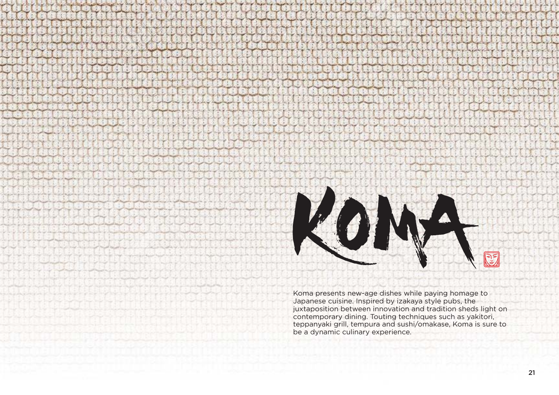

Koma presents new-age dishes while paying homage to Japanese cuisine. Inspired by izakaya style pubs, the juxtaposition between innovation and tradition sheds light on contemporary dining. Touting techniques such as yakitori, teppanyaki grill, tempura and sushi/omakase, Koma is sure to be a dynamic culinary experience.

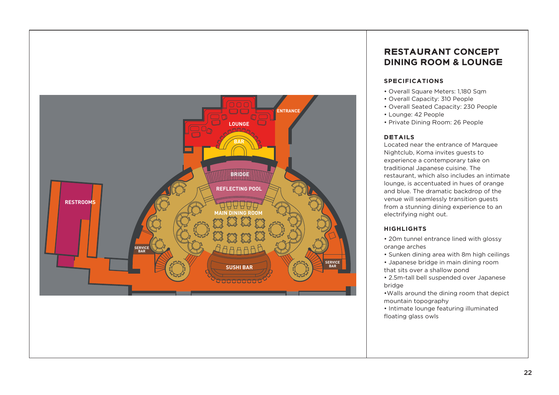# **RESTAURANT CONCEPTDINING ROOM & LOUNGE**

# **SPECIFICATIONS**

• Overall Square Meters: 1,180 Sqm • Overall Capacity: 310 People • Overall Seated Capacity: 230 People • Private Dining Room: 26 People

- 
- 
- 
- Lounge: 42 People
- 

### **DETAILS**

Located near the entrance of Marquee Nightclub, Koma invites guests to experience a contemporary take on traditional Japanese cuisine. The restaurant, which also includes an intimate lounge, is accentuated in hues of orange and blue. The dramatic backdrop of the venue will seamlessly transition guests from a stunning dining experience to an electrifying night out.

## **HIGHLIGHTS**

• 20m tunnel entrance lined with glossy • Sunken dining area with 8m high ceilings • Japanese bridge in main dining room that sits over a shallow pond • 2.5m-tall bell suspended over Japanese

- orange arches
	-
- 
- bridge
- mountain topography
- 
- floating glass owls

•Walls around the dining room that depict • Intimate lounge featuring illuminated

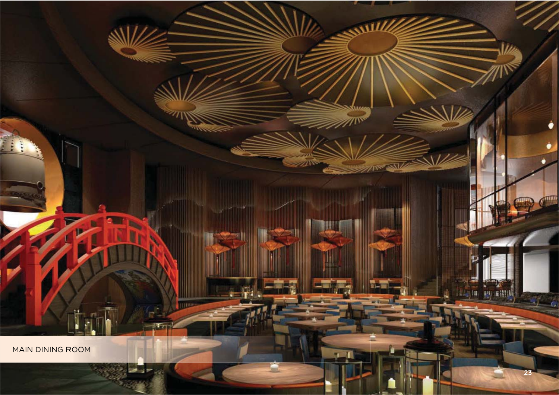